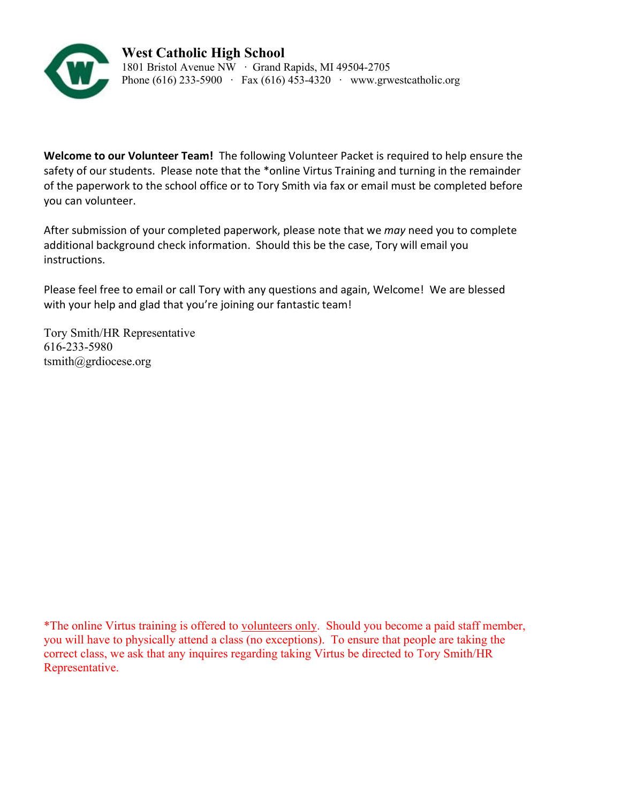

**Welcome to our Volunteer Team!** The following Volunteer Packet is required to help ensure the safety of our students. Please note that the \*online Virtus Training and turning in the remainder of the paperwork to the school office or to Tory Smith via fax or email must be completed before you can volunteer.

After submission of your completed paperwork, please note that we *may* need you to complete additional background check information. Should this be the case, Tory will email you instructions.

Please feel free to email or call Tory with any questions and again, Welcome! We are blessed with your help and glad that you're joining our fantastic team!

Tory Smith/HR Representative 616-233-5980 tsmith@grdiocese.org

\*The online Virtus training is offered to volunteers only. Should you become a paid staff member, you will have to physically attend a class (no exceptions). To ensure that people are taking the correct class, we ask that any inquires regarding taking Virtus be directed to Tory Smith/HR Representative.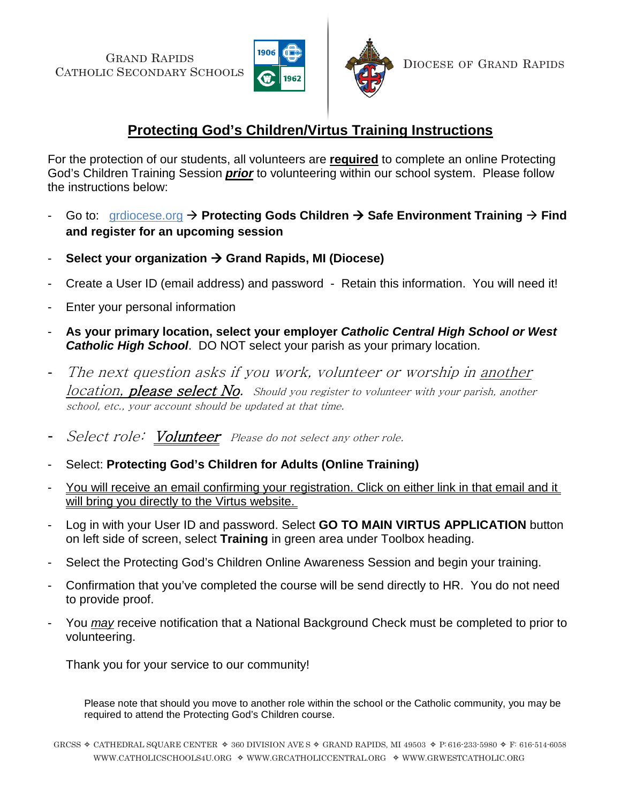GRAND RAPIDS CATHOLIC SECONDARY SCHOOLS





DIOCESE OF GRAND RAPIDS

# **Protecting God's Children/Virtus Training Instructions**

For the protection of our students, all volunteers are **required** to complete an online Protecting God's Children Training Session *prior* to volunteering within our school system. Please follow the instructions below:

- Go to: grdiocese.org  $\rightarrow$  Protecting Gods Children  $\rightarrow$  Safe Environment Training  $\rightarrow$  Find **and register for an upcoming session**
- **Select your organization Grand Rapids, MI (Diocese)**
- Create a User ID (email address) and password Retain this information. You will need it!
- Enter your personal information
- **As your primary location, select your employer** *Catholic Central High School or West Catholic High School*. DO NOT select your parish as your primary location.
- The next question asks if you work, volunteer or worship in another location, **please select No.** Should you register to volunteer with your parish, another school, etc., your account should be updated at that time.
- Select role: Volunteer Please do not select any other role.
- Select: **Protecting God's Children for Adults (Online Training)**
- You will receive an email confirming your registration. Click on either link in that email and it will bring you directly to the Virtus website.
- Log in with your User ID and password. Select **GO TO MAIN VIRTUS APPLICATION** button on left side of screen, select **Training** in green area under Toolbox heading.
- Select the Protecting God's Children Online Awareness Session and begin your training.
- Confirmation that you've completed the course will be send directly to HR. You do not need to provide proof.
- You *may* receive notification that a National Background Check must be completed to prior to volunteering.

Thank you for your service to our community!

Please note that should you move to another role within the school or the Catholic community, you may be required to attend the Protecting God's Children course.

GRCSS  $\triangle$  CATHEDRAL SQUARE CENTER  $\triangle$  360 DIVISION AVE S  $\triangle$  GRAND RAPIDS, MI 49503  $\triangle$  P: 616-233-5980  $\triangle$  F: 616-514-6058 WWW.CATHOLICSCHOOLS4U.ORG  $\triangleq$  WWW.GRCATHOLICCENTRAL.ORG  $\triangleq$  WWW.GRWESTCATHOLIC.ORG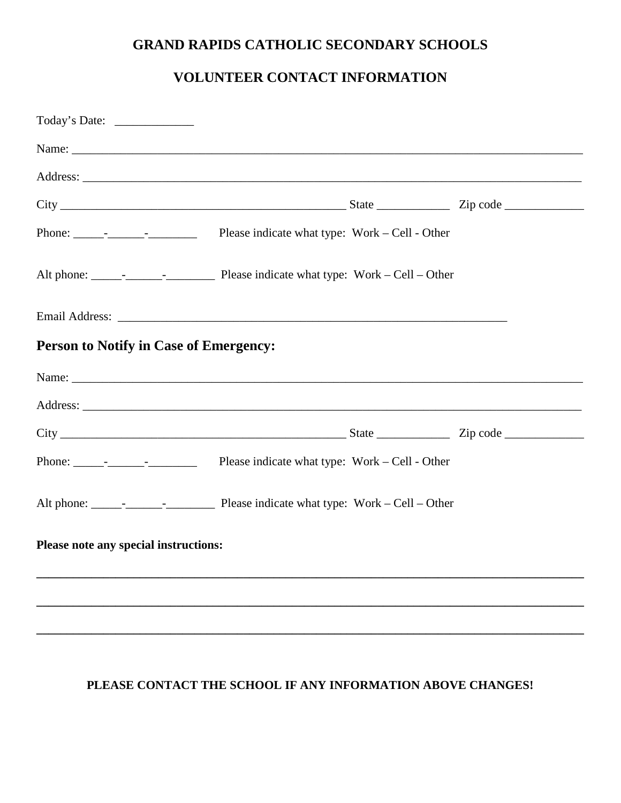# **GRAND RAPIDS CATHOLIC SECONDARY SCHOOLS**

# **VOLUNTEER CONTACT INFORMATION**

| <b>Person to Notify in Case of Emergency:</b> |  |
|-----------------------------------------------|--|
|                                               |  |
|                                               |  |
|                                               |  |
|                                               |  |
|                                               |  |
| Please note any special instructions:         |  |
|                                               |  |
|                                               |  |
|                                               |  |

## **PLEASE CONTACT THE SCHOOL IF ANY INFORMATION ABOVE CHANGES!**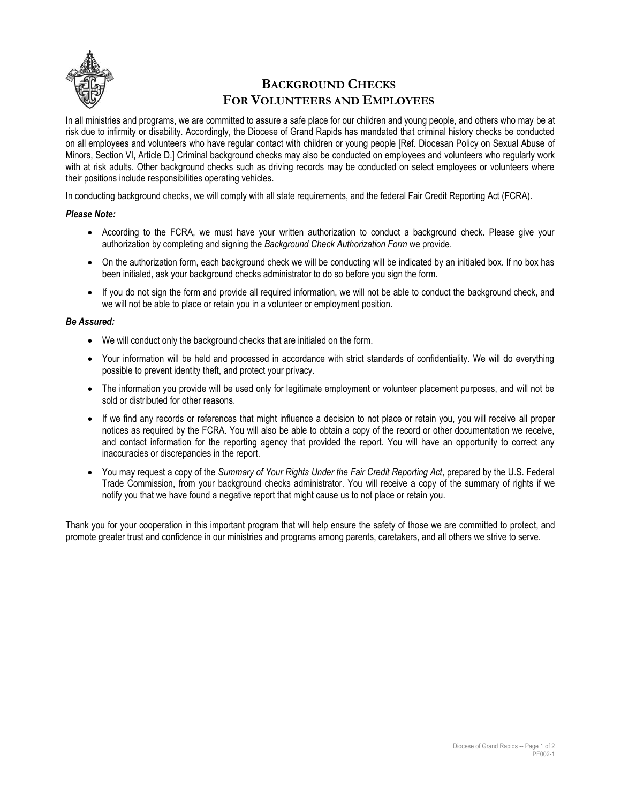

# **BACKGROUND CHECKS FOR VOLUNTEERS AND EMPLOYEES**

In all ministries and programs, we are committed to assure a safe place for our children and young people, and others who may be at risk due to infirmity or disability. Accordingly, the Diocese of Grand Rapids has mandated that criminal history checks be conducted on all employees and volunteers who have regular contact with children or young people [Ref. Diocesan Policy on Sexual Abuse of Minors, Section VI, Article D.] Criminal background checks may also be conducted on employees and volunteers who regularly work with at risk adults. Other background checks such as driving records may be conducted on select employees or volunteers where their positions include responsibilities operating vehicles.

In conducting background checks, we will comply with all state requirements, and the federal Fair Credit Reporting Act (FCRA).

#### *Please Note:*

- According to the FCRA, we must have your written authorization to conduct a background check. Please give your authorization by completing and signing the *Background Check Authorization Form* we provide.
- On the authorization form, each background check we will be conducting will be indicated by an initialed box. If no box has been initialed, ask your background checks administrator to do so before you sign the form.
- If you do not sign the form and provide all required information, we will not be able to conduct the background check, and we will not be able to place or retain you in a volunteer or employment position.

#### *Be Assured:*

- We will conduct only the background checks that are initialed on the form.
- Your information will be held and processed in accordance with strict standards of confidentiality. We will do everything possible to prevent identity theft, and protect your privacy.
- The information you provide will be used only for legitimate employment or volunteer placement purposes, and will not be sold or distributed for other reasons.
- If we find any records or references that might influence a decision to not place or retain you, you will receive all proper notices as required by the FCRA. You will also be able to obtain a copy of the record or other documentation we receive, and contact information for the reporting agency that provided the report. You will have an opportunity to correct any inaccuracies or discrepancies in the report.
- You may request a copy of the *Summary of Your Rights Under the Fair Credit Reporting Act*, prepared by the U.S. Federal Trade Commission, from your background checks administrator. You will receive a copy of the summary of rights if we notify you that we have found a negative report that might cause us to not place or retain you.

Thank you for your cooperation in this important program that will help ensure the safety of those we are committed to protect, and promote greater trust and confidence in our ministries and programs among parents, caretakers, and all others we strive to serve.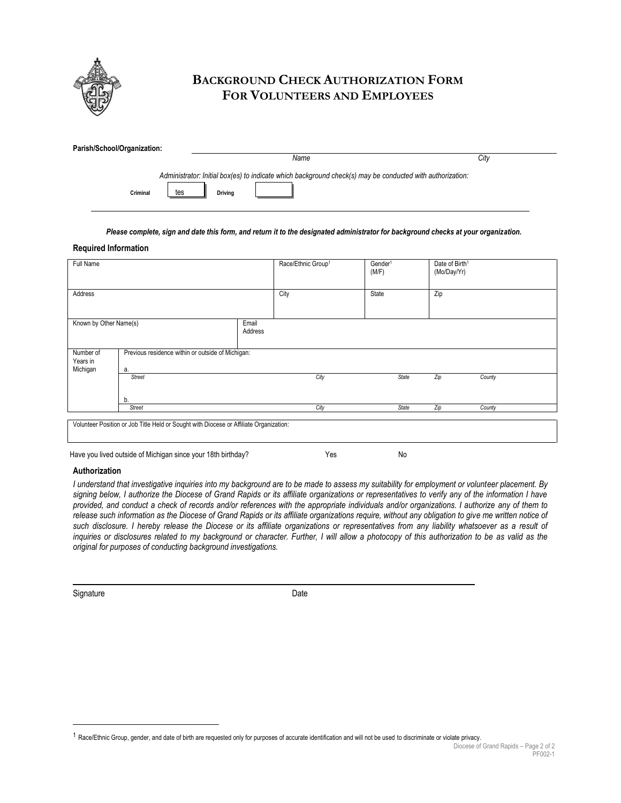

## **BACKGROUND CHECK AUTHORIZATION FORM FOR VOLUNTEERS AND EMPLOYEES**

| Parish/School/Organization:                                                                               |                |      |      |  |  |  |  |  |
|-----------------------------------------------------------------------------------------------------------|----------------|------|------|--|--|--|--|--|
|                                                                                                           |                | Name | City |  |  |  |  |  |
| Administrator: Initial box(es) to indicate which background check(s) may be conducted with authorization: |                |      |      |  |  |  |  |  |
| tes<br>Criminal                                                                                           | <b>Drivina</b> |      |      |  |  |  |  |  |

#### *Please complete, sign and date this form, and return it to the designated administrator for background checks at your organization.*

#### **Required Information**

| Full Name                                                                              |                                                              |                  | Race/Ethnic Group1 | Gender <sup>1</sup><br>(M/F) | Date of Birth <sup>1</sup><br>(Mo/Day/Yr) |        |  |  |
|----------------------------------------------------------------------------------------|--------------------------------------------------------------|------------------|--------------------|------------------------------|-------------------------------------------|--------|--|--|
| Address                                                                                |                                                              |                  | City               | State                        | Zip                                       |        |  |  |
| Known by Other Name(s)                                                                 |                                                              | Email<br>Address |                    |                              |                                           |        |  |  |
| Number of<br>Years in<br>Michigan                                                      | Previous residence within or outside of Michigan:<br>а.      |                  |                    |                              |                                           |        |  |  |
|                                                                                        | <b>Street</b><br>b.                                          |                  | City               | <b>State</b>                 | Zip                                       | County |  |  |
|                                                                                        | Street                                                       |                  | City               | State                        | Zip                                       | County |  |  |
| Volunteer Position or Job Title Held or Sought with Diocese or Affiliate Organization: |                                                              |                  |                    |                              |                                           |        |  |  |
|                                                                                        | Have you lived outside of Michigan since your 18th birthday? |                  | Yes                | No                           |                                           |        |  |  |

#### **Authorization**

*I understand that investigative inquiries into my background are to be made to assess my suitability for employment or volunteer placement. By signing below, I authorize the Diocese of Grand Rapids or its affiliate organizations or representatives to verify any of the information I have provided, and conduct a check of records and/or references with the appropriate individuals and/or organizations. I authorize any of them to release such information as the Diocese of Grand Rapids or its affiliate organizations require, without any obligation to give me written notice of such disclosure. I hereby release the Diocese or its affiliate organizations or representatives from any liability whatsoever as a result of inquiries or disclosures related to my background or character. Further, I will allow a photocopy of this authorization to be as valid as the original for purposes of conducting background investigations.*

Signature Date

<sup>1</sup> Race/Ethnic Group, gender, and date of birth are requested only for purposes of accurate identification and will not be used to discriminate or violate privacy.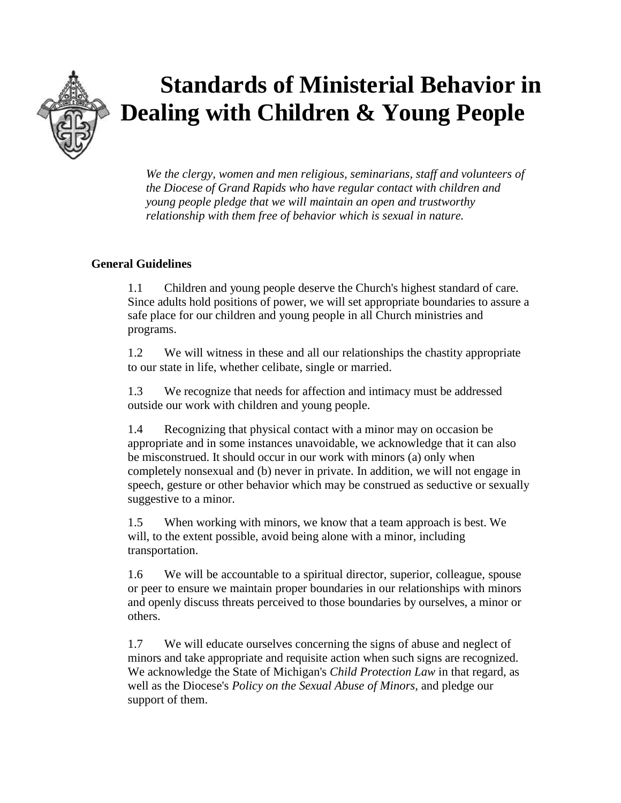

# **Standards of Ministerial Behavior in Dealing with Children & Young People**

*We the clergy, women and men religious, seminarians, staff and volunteers of the Diocese of Grand Rapids who have regular contact with children and young people pledge that we will maintain an open and trustworthy relationship with them free of behavior which is sexual in nature.*

## **General Guidelines**

1.1 Children and young people deserve the Church's highest standard of care. Since adults hold positions of power, we will set appropriate boundaries to assure a safe place for our children and young people in all Church ministries and programs.

1.2 We will witness in these and all our relationships the chastity appropriate to our state in life, whether celibate, single or married.

1.3 We recognize that needs for affection and intimacy must be addressed outside our work with children and young people.

1.4 Recognizing that physical contact with a minor may on occasion be appropriate and in some instances unavoidable, we acknowledge that it can also be misconstrued. It should occur in our work with minors (a) only when completely nonsexual and (b) never in private. In addition, we will not engage in speech, gesture or other behavior which may be construed as seductive or sexually suggestive to a minor.

1.5 When working with minors, we know that a team approach is best. We will, to the extent possible, avoid being alone with a minor, including transportation.

1.6 We will be accountable to a spiritual director, superior, colleague, spouse or peer to ensure we maintain proper boundaries in our relationships with minors and openly discuss threats perceived to those boundaries by ourselves, a minor or others.

1.7 We will educate ourselves concerning the signs of abuse and neglect of minors and take appropriate and requisite action when such signs are recognized. We acknowledge the State of Michigan's *Child Protection Law* in that regard, as well as the Diocese's *Policy on the Sexual Abuse of Minors,* and pledge our support of them.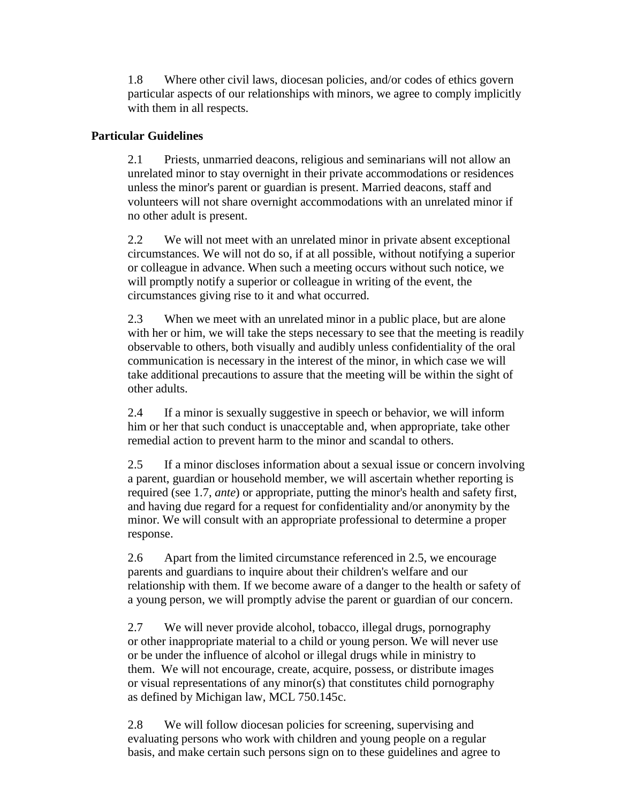1.8 Where other civil laws, diocesan policies, and/or codes of ethics govern particular aspects of our relationships with minors, we agree to comply implicitly with them in all respects.

## **Particular Guidelines**

2.1 Priests, unmarried deacons, religious and seminarians will not allow an unrelated minor to stay overnight in their private accommodations or residences unless the minor's parent or guardian is present. Married deacons, staff and volunteers will not share overnight accommodations with an unrelated minor if no other adult is present.

2.2 We will not meet with an unrelated minor in private absent exceptional circumstances. We will not do so, if at all possible, without notifying a superior or colleague in advance. When such a meeting occurs without such notice, we will promptly notify a superior or colleague in writing of the event, the circumstances giving rise to it and what occurred.

2.3 When we meet with an unrelated minor in a public place, but are alone with her or him, we will take the steps necessary to see that the meeting is readily observable to others, both visually and audibly unless confidentiality of the oral communication is necessary in the interest of the minor, in which case we will take additional precautions to assure that the meeting will be within the sight of other adults.

2.4 If a minor is sexually suggestive in speech or behavior, we will inform him or her that such conduct is unacceptable and, when appropriate, take other remedial action to prevent harm to the minor and scandal to others.

2.5 If a minor discloses information about a sexual issue or concern involving a parent, guardian or household member, we will ascertain whether reporting is required (see 1.7, *ante*) or appropriate, putting the minor's health and safety first, and having due regard for a request for confidentiality and/or anonymity by the minor. We will consult with an appropriate professional to determine a proper response.

2.6 Apart from the limited circumstance referenced in 2.5, we encourage parents and guardians to inquire about their children's welfare and our relationship with them. If we become aware of a danger to the health or safety of a young person, we will promptly advise the parent or guardian of our concern.

2.7 We will never provide alcohol, tobacco, illegal drugs, pornography or other inappropriate material to a child or young person. We will never use or be under the influence of alcohol or illegal drugs while in ministry to them. We will not encourage, create, acquire, possess, or distribute images or visual representations of any minor(s) that constitutes child pornography as defined by Michigan law, MCL 750.145c.

2.8 We will follow diocesan policies for screening, supervising and evaluating persons who work with children and young people on a regular basis, and make certain such persons sign on to these guidelines and agree to